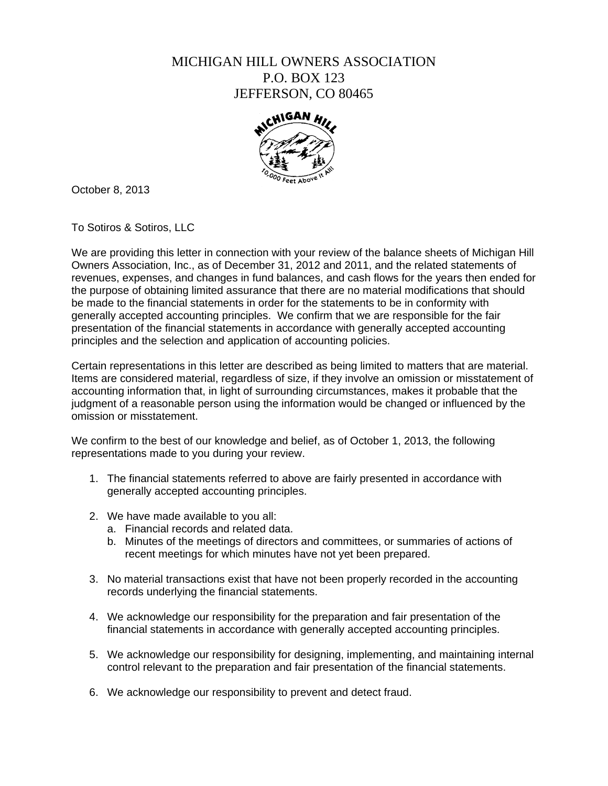## MICHIGAN HILL OWNERS ASSOCIATION P.O. BOX 123 JEFFERSON, CO 80465



October 8, 2013

To Sotiros & Sotiros, LLC

We are providing this letter in connection with your review of the balance sheets of Michigan Hill Owners Association, Inc., as of December 31, 2012 and 2011, and the related statements of revenues, expenses, and changes in fund balances, and cash flows for the years then ended for the purpose of obtaining limited assurance that there are no material modifications that should be made to the financial statements in order for the statements to be in conformity with generally accepted accounting principles. We confirm that we are responsible for the fair presentation of the financial statements in accordance with generally accepted accounting principles and the selection and application of accounting policies.

Certain representations in this letter are described as being limited to matters that are material. Items are considered material, regardless of size, if they involve an omission or misstatement of accounting information that, in light of surrounding circumstances, makes it probable that the judgment of a reasonable person using the information would be changed or influenced by the omission or misstatement.

We confirm to the best of our knowledge and belief, as of October 1, 2013, the following representations made to you during your review.

- 1. The financial statements referred to above are fairly presented in accordance with generally accepted accounting principles.
- 2. We have made available to you all:
	- a. Financial records and related data.
	- b. Minutes of the meetings of directors and committees, or summaries of actions of recent meetings for which minutes have not yet been prepared.
- 3. No material transactions exist that have not been properly recorded in the accounting records underlying the financial statements.
- 4. We acknowledge our responsibility for the preparation and fair presentation of the financial statements in accordance with generally accepted accounting principles.
- 5. We acknowledge our responsibility for designing, implementing, and maintaining internal control relevant to the preparation and fair presentation of the financial statements.
- 6. We acknowledge our responsibility to prevent and detect fraud.